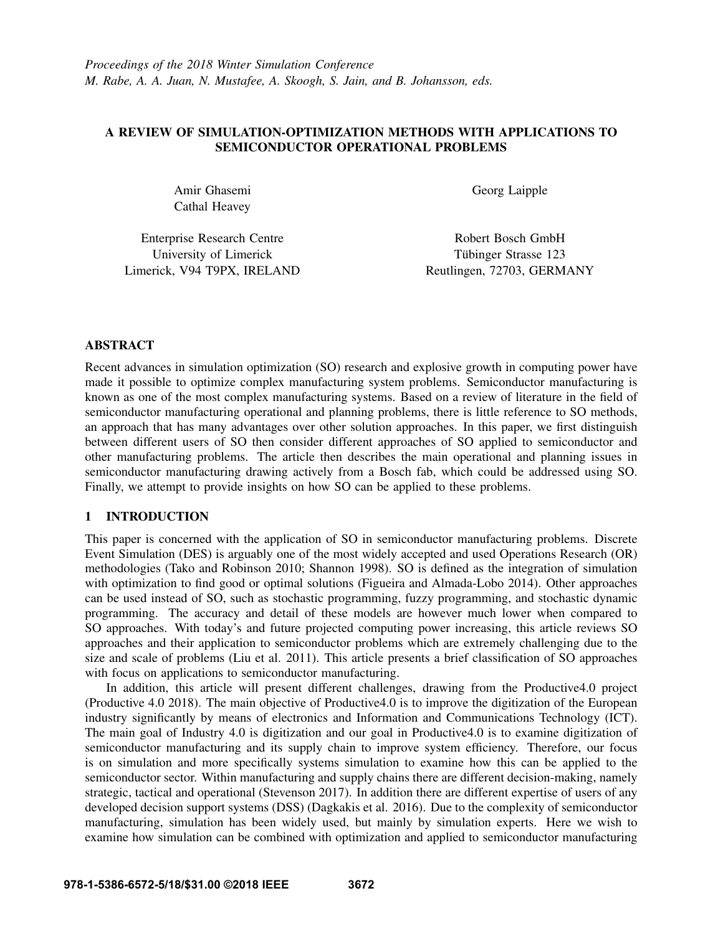# A REVIEW OF SIMULATION-OPTIMIZATION METHODS WITH APPLICATIONS TO SEMICONDUCTOR OPERATIONAL PROBLEMS

Amir Ghasemi Cathal Heavey Georg Laipple

Enterprise Research Centre University of Limerick Limerick, V94 T9PX, IRELAND

Robert Bosch GmbH Tübinger Strasse 123 Reutlingen, 72703, GERMANY

# ABSTRACT

Recent advances in simulation optimization (SO) research and explosive growth in computing power have made it possible to optimize complex manufacturing system problems. Semiconductor manufacturing is known as one of the most complex manufacturing systems. Based on a review of literature in the field of semiconductor manufacturing operational and planning problems, there is little reference to SO methods, an approach that has many advantages over other solution approaches. In this paper, we first distinguish between different users of SO then consider different approaches of SO applied to semiconductor and other manufacturing problems. The article then describes the main operational and planning issues in semiconductor manufacturing drawing actively from a Bosch fab, which could be addressed using SO. Finally, we attempt to provide insights on how SO can be applied to these problems.

# 1 INTRODUCTION

This paper is concerned with the application of SO in semiconductor manufacturing problems. Discrete Event Simulation (DES) is arguably one of the most widely accepted and used Operations Research (OR) methodologies (Tako and Robinson 2010; Shannon 1998). SO is defined as the integration of simulation with optimization to find good or optimal solutions (Figueira and Almada-Lobo 2014). Other approaches can be used instead of SO, such as stochastic programming, fuzzy programming, and stochastic dynamic programming. The accuracy and detail of these models are however much lower when compared to SO approaches. With today's and future projected computing power increasing, this article reviews SO approaches and their application to semiconductor problems which are extremely challenging due to the size and scale of problems (Liu et al. 2011). This article presents a brief classification of SO approaches with focus on applications to semiconductor manufacturing.

In addition, this article will present different challenges, drawing from the Productive4.0 project (Productive 4.0 2018). The main objective of Productive4.0 is to improve the digitization of the European industry significantly by means of electronics and Information and Communications Technology (ICT). The main goal of Industry 4.0 is digitization and our goal in Productive4.0 is to examine digitization of semiconductor manufacturing and its supply chain to improve system efficiency. Therefore, our focus is on simulation and more specifically systems simulation to examine how this can be applied to the semiconductor sector. Within manufacturing and supply chains there are different decision-making, namely strategic, tactical and operational (Stevenson 2017). In addition there are different expertise of users of any developed decision support systems (DSS) (Dagkakis et al. 2016). Due to the complexity of semiconductor manufacturing, simulation has been widely used, but mainly by simulation experts. Here we wish to examine how simulation can be combined with optimization and applied to semiconductor manufacturing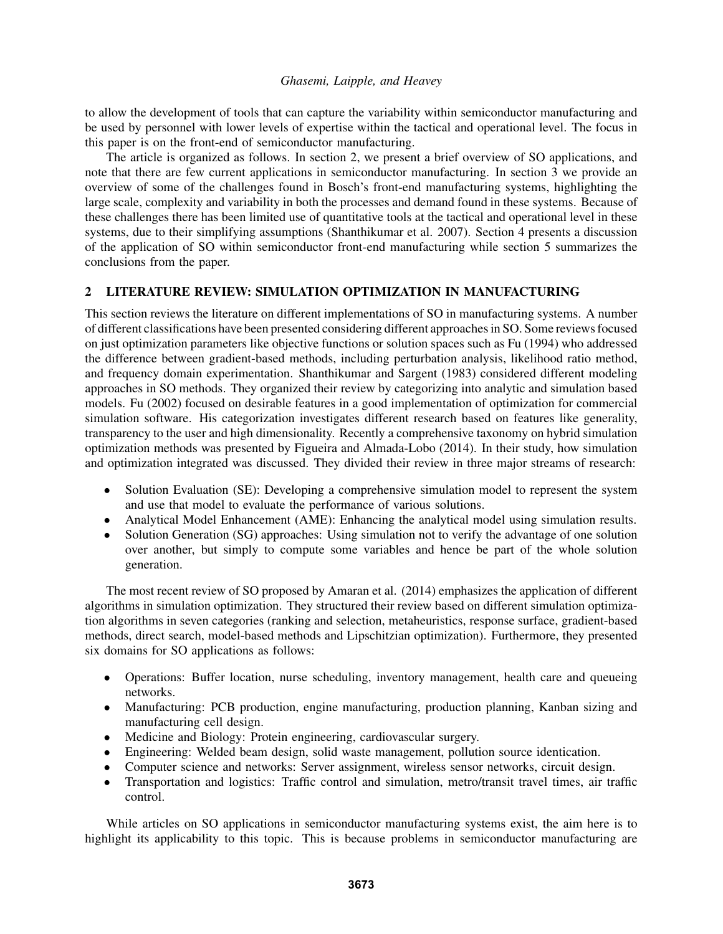to allow the development of tools that can capture the variability within semiconductor manufacturing and be used by personnel with lower levels of expertise within the tactical and operational level. The focus in this paper is on the front-end of semiconductor manufacturing.

The article is organized as follows. In section 2, we present a brief overview of SO applications, and note that there are few current applications in semiconductor manufacturing. In section 3 we provide an overview of some of the challenges found in Bosch's front-end manufacturing systems, highlighting the large scale, complexity and variability in both the processes and demand found in these systems. Because of these challenges there has been limited use of quantitative tools at the tactical and operational level in these systems, due to their simplifying assumptions (Shanthikumar et al. 2007). Section 4 presents a discussion of the application of SO within semiconductor front-end manufacturing while section 5 summarizes the conclusions from the paper.

# 2 LITERATURE REVIEW: SIMULATION OPTIMIZATION IN MANUFACTURING

This section reviews the literature on different implementations of SO in manufacturing systems. A number of different classifications have been presented considering different approaches in SO. Some reviews focused on just optimization parameters like objective functions or solution spaces such as Fu (1994) who addressed the difference between gradient-based methods, including perturbation analysis, likelihood ratio method, and frequency domain experimentation. Shanthikumar and Sargent (1983) considered different modeling approaches in SO methods. They organized their review by categorizing into analytic and simulation based models. Fu (2002) focused on desirable features in a good implementation of optimization for commercial simulation software. His categorization investigates different research based on features like generality, transparency to the user and high dimensionality. Recently a comprehensive taxonomy on hybrid simulation optimization methods was presented by Figueira and Almada-Lobo (2014). In their study, how simulation and optimization integrated was discussed. They divided their review in three major streams of research:

- Solution Evaluation (SE): Developing a comprehensive simulation model to represent the system and use that model to evaluate the performance of various solutions.
- Analytical Model Enhancement (AME): Enhancing the analytical model using simulation results.
- Solution Generation (SG) approaches: Using simulation not to verify the advantage of one solution over another, but simply to compute some variables and hence be part of the whole solution generation.

The most recent review of SO proposed by Amaran et al. (2014) emphasizes the application of different algorithms in simulation optimization. They structured their review based on different simulation optimization algorithms in seven categories (ranking and selection, metaheuristics, response surface, gradient-based methods, direct search, model-based methods and Lipschitzian optimization). Furthermore, they presented six domains for SO applications as follows:

- Operations: Buffer location, nurse scheduling, inventory management, health care and queueing networks.
- Manufacturing: PCB production, engine manufacturing, production planning, Kanban sizing and manufacturing cell design.
- Medicine and Biology: Protein engineering, cardiovascular surgery.
- Engineering: Welded beam design, solid waste management, pollution source identication.
- Computer science and networks: Server assignment, wireless sensor networks, circuit design.
- Transportation and logistics: Traffic control and simulation, metro/transit travel times, air traffic control.

While articles on SO applications in semiconductor manufacturing systems exist, the aim here is to highlight its applicability to this topic. This is because problems in semiconductor manufacturing are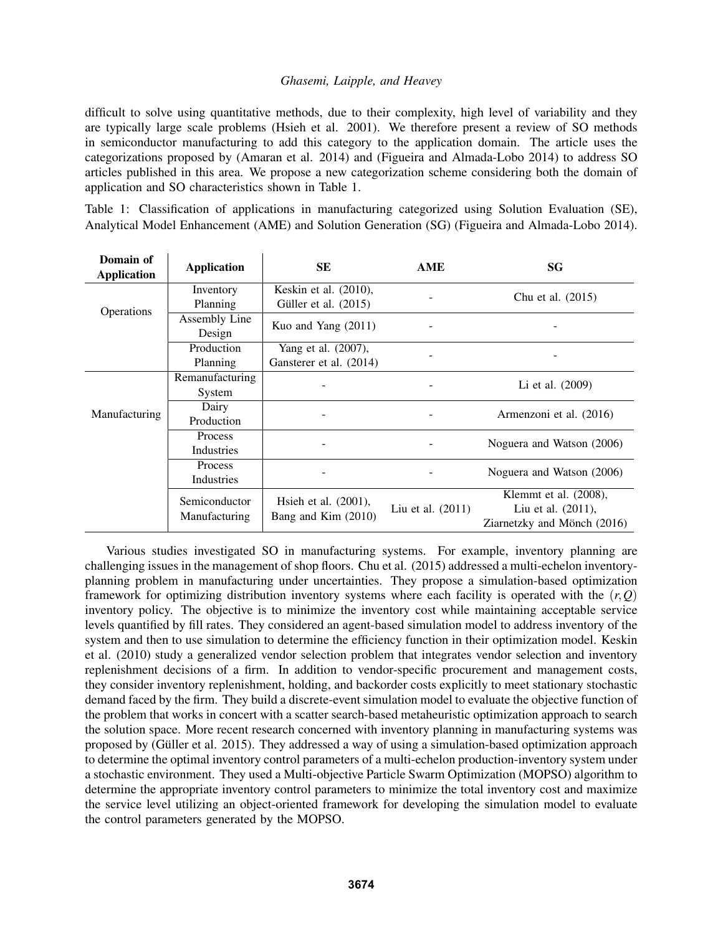difficult to solve using quantitative methods, due to their complexity, high level of variability and they are typically large scale problems (Hsieh et al. 2001). We therefore present a review of SO methods in semiconductor manufacturing to add this category to the application domain. The article uses the categorizations proposed by (Amaran et al. 2014) and (Figueira and Almada-Lobo 2014) to address SO articles published in this area. We propose a new categorization scheme considering both the domain of application and SO characteristics shown in Table 1.

Table 1: Classification of applications in manufacturing categorized using Solution Evaluation (SE), Analytical Model Enhancement (AME) and Solution Generation (SG) (Figueira and Almada-Lobo 2014).

| Domain of<br><b>Application</b> | <b>Application</b> | SE                                             | AME                 | SG                          |
|---------------------------------|--------------------|------------------------------------------------|---------------------|-----------------------------|
| Operations                      | Inventory          | Keskin et al. (2010),<br>Güller et al. (2015)  |                     | Chu et al. (2015)           |
|                                 | Planning           |                                                |                     |                             |
|                                 | Assembly Line      | Kuo and Yang $(2011)$                          |                     |                             |
|                                 | Design             |                                                |                     |                             |
|                                 | Production         | Yang et al. (2007),                            |                     |                             |
|                                 | Planning           | Gansterer et al. (2014)                        |                     |                             |
| <b>Manufacturing</b>            | Remanufacturing    |                                                |                     | Li et al. (2009)            |
|                                 | System             |                                                |                     |                             |
|                                 | Dairy              |                                                |                     | Armenzoni et al. (2016)     |
|                                 | Production         |                                                |                     |                             |
|                                 | Process            |                                                |                     | Noguera and Watson (2006)   |
|                                 | Industries         |                                                |                     |                             |
|                                 | Process            | -                                              |                     | Noguera and Watson (2006)   |
|                                 | Industries         |                                                |                     |                             |
|                                 | Semiconductor      | Hsieh et al. $(2001)$ ,<br>Bang and Kim (2010) | Liu et al. $(2011)$ | Klemmt et al. (2008),       |
|                                 | Manufacturing      |                                                |                     | Liu et al. (2011),          |
|                                 |                    |                                                |                     | Ziarnetzky and Mönch (2016) |

Various studies investigated SO in manufacturing systems. For example, inventory planning are challenging issues in the management of shop floors. Chu et al. (2015) addressed a multi-echelon inventoryplanning problem in manufacturing under uncertainties. They propose a simulation-based optimization framework for optimizing distribution inventory systems where each facility is operated with the  $(r, Q)$ inventory policy. The objective is to minimize the inventory cost while maintaining acceptable service levels quantified by fill rates. They considered an agent-based simulation model to address inventory of the system and then to use simulation to determine the efficiency function in their optimization model. Keskin et al. (2010) study a generalized vendor selection problem that integrates vendor selection and inventory replenishment decisions of a firm. In addition to vendor-specific procurement and management costs, they consider inventory replenishment, holding, and backorder costs explicitly to meet stationary stochastic demand faced by the firm. They build a discrete-event simulation model to evaluate the objective function of the problem that works in concert with a scatter search-based metaheuristic optimization approach to search the solution space. More recent research concerned with inventory planning in manufacturing systems was proposed by (Güller et al. 2015). They addressed a way of using a simulation-based optimization approach to determine the optimal inventory control parameters of a multi-echelon production-inventory system under a stochastic environment. They used a Multi-objective Particle Swarm Optimization (MOPSO) algorithm to determine the appropriate inventory control parameters to minimize the total inventory cost and maximize the service level utilizing an object-oriented framework for developing the simulation model to evaluate the control parameters generated by the MOPSO.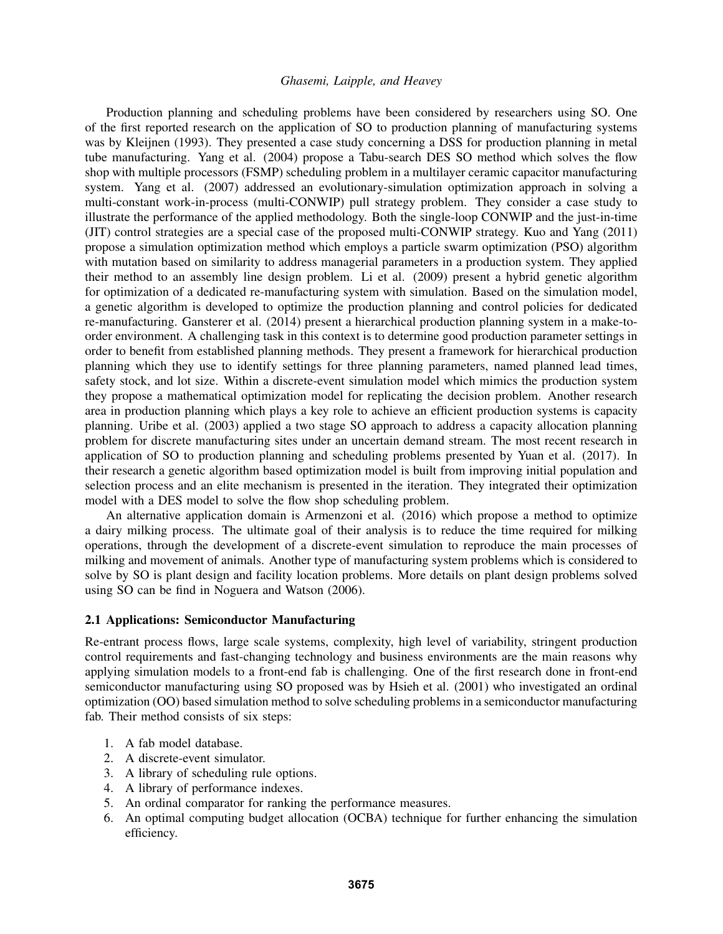Production planning and scheduling problems have been considered by researchers using SO. One of the first reported research on the application of SO to production planning of manufacturing systems was by Kleijnen (1993). They presented a case study concerning a DSS for production planning in metal tube manufacturing. Yang et al. (2004) propose a Tabu-search DES SO method which solves the flow shop with multiple processors (FSMP) scheduling problem in a multilayer ceramic capacitor manufacturing system. Yang et al. (2007) addressed an evolutionary-simulation optimization approach in solving a multi-constant work-in-process (multi-CONWIP) pull strategy problem. They consider a case study to illustrate the performance of the applied methodology. Both the single-loop CONWIP and the just-in-time (JIT) control strategies are a special case of the proposed multi-CONWIP strategy. Kuo and Yang (2011) propose a simulation optimization method which employs a particle swarm optimization (PSO) algorithm with mutation based on similarity to address managerial parameters in a production system. They applied their method to an assembly line design problem. Li et al. (2009) present a hybrid genetic algorithm for optimization of a dedicated re-manufacturing system with simulation. Based on the simulation model, a genetic algorithm is developed to optimize the production planning and control policies for dedicated re-manufacturing. Gansterer et al. (2014) present a hierarchical production planning system in a make-toorder environment. A challenging task in this context is to determine good production parameter settings in order to benefit from established planning methods. They present a framework for hierarchical production planning which they use to identify settings for three planning parameters, named planned lead times, safety stock, and lot size. Within a discrete-event simulation model which mimics the production system they propose a mathematical optimization model for replicating the decision problem. Another research area in production planning which plays a key role to achieve an efficient production systems is capacity planning. Uribe et al. (2003) applied a two stage SO approach to address a capacity allocation planning problem for discrete manufacturing sites under an uncertain demand stream. The most recent research in application of SO to production planning and scheduling problems presented by Yuan et al. (2017). In their research a genetic algorithm based optimization model is built from improving initial population and selection process and an elite mechanism is presented in the iteration. They integrated their optimization model with a DES model to solve the flow shop scheduling problem.

An alternative application domain is Armenzoni et al. (2016) which propose a method to optimize a dairy milking process. The ultimate goal of their analysis is to reduce the time required for milking operations, through the development of a discrete-event simulation to reproduce the main processes of milking and movement of animals. Another type of manufacturing system problems which is considered to solve by SO is plant design and facility location problems. More details on plant design problems solved using SO can be find in Noguera and Watson (2006).

#### 2.1 Applications: Semiconductor Manufacturing

Re-entrant process flows, large scale systems, complexity, high level of variability, stringent production control requirements and fast-changing technology and business environments are the main reasons why applying simulation models to a front-end fab is challenging. One of the first research done in front-end semiconductor manufacturing using SO proposed was by Hsieh et al. (2001) who investigated an ordinal optimization (OO) based simulation method to solve scheduling problems in a semiconductor manufacturing fab. Their method consists of six steps:

- 1. A fab model database.
- 2. A discrete-event simulator.
- 3. A library of scheduling rule options.
- 4. A library of performance indexes.
- 5. An ordinal comparator for ranking the performance measures.
- 6. An optimal computing budget allocation (OCBA) technique for further enhancing the simulation efficiency.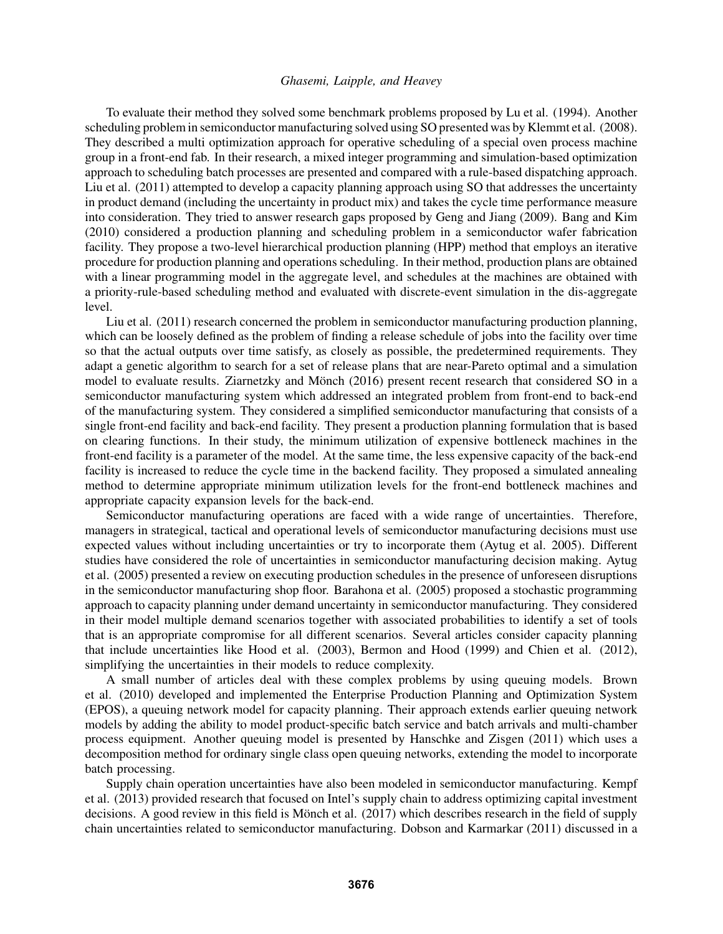To evaluate their method they solved some benchmark problems proposed by Lu et al. (1994). Another scheduling problem in semiconductor manufacturing solved using SO presented was by Klemmt et al. (2008). They described a multi optimization approach for operative scheduling of a special oven process machine group in a front-end fab. In their research, a mixed integer programming and simulation-based optimization approach to scheduling batch processes are presented and compared with a rule-based dispatching approach. Liu et al. (2011) attempted to develop a capacity planning approach using SO that addresses the uncertainty in product demand (including the uncertainty in product mix) and takes the cycle time performance measure into consideration. They tried to answer research gaps proposed by Geng and Jiang (2009). Bang and Kim (2010) considered a production planning and scheduling problem in a semiconductor wafer fabrication facility. They propose a two-level hierarchical production planning (HPP) method that employs an iterative procedure for production planning and operations scheduling. In their method, production plans are obtained with a linear programming model in the aggregate level, and schedules at the machines are obtained with a priority-rule-based scheduling method and evaluated with discrete-event simulation in the dis-aggregate level.

Liu et al. (2011) research concerned the problem in semiconductor manufacturing production planning, which can be loosely defined as the problem of finding a release schedule of jobs into the facility over time so that the actual outputs over time satisfy, as closely as possible, the predetermined requirements. They adapt a genetic algorithm to search for a set of release plans that are near-Pareto optimal and a simulation model to evaluate results. Ziarnetzky and Mönch (2016) present recent research that considered SO in a semiconductor manufacturing system which addressed an integrated problem from front-end to back-end of the manufacturing system. They considered a simplified semiconductor manufacturing that consists of a single front-end facility and back-end facility. They present a production planning formulation that is based on clearing functions. In their study, the minimum utilization of expensive bottleneck machines in the front-end facility is a parameter of the model. At the same time, the less expensive capacity of the back-end facility is increased to reduce the cycle time in the backend facility. They proposed a simulated annealing method to determine appropriate minimum utilization levels for the front-end bottleneck machines and appropriate capacity expansion levels for the back-end.

Semiconductor manufacturing operations are faced with a wide range of uncertainties. Therefore, managers in strategical, tactical and operational levels of semiconductor manufacturing decisions must use expected values without including uncertainties or try to incorporate them (Aytug et al. 2005). Different studies have considered the role of uncertainties in semiconductor manufacturing decision making. Aytug et al. (2005) presented a review on executing production schedules in the presence of unforeseen disruptions in the semiconductor manufacturing shop floor. Barahona et al. (2005) proposed a stochastic programming approach to capacity planning under demand uncertainty in semiconductor manufacturing. They considered in their model multiple demand scenarios together with associated probabilities to identify a set of tools that is an appropriate compromise for all different scenarios. Several articles consider capacity planning that include uncertainties like Hood et al. (2003), Bermon and Hood (1999) and Chien et al. (2012), simplifying the uncertainties in their models to reduce complexity.

A small number of articles deal with these complex problems by using queuing models. Brown et al. (2010) developed and implemented the Enterprise Production Planning and Optimization System (EPOS), a queuing network model for capacity planning. Their approach extends earlier queuing network models by adding the ability to model product-specific batch service and batch arrivals and multi-chamber process equipment. Another queuing model is presented by Hanschke and Zisgen (2011) which uses a decomposition method for ordinary single class open queuing networks, extending the model to incorporate batch processing.

Supply chain operation uncertainties have also been modeled in semiconductor manufacturing. Kempf et al. (2013) provided research that focused on Intel's supply chain to address optimizing capital investment decisions. A good review in this field is Mönch et al.  $(2017)$  which describes research in the field of supply chain uncertainties related to semiconductor manufacturing. Dobson and Karmarkar (2011) discussed in a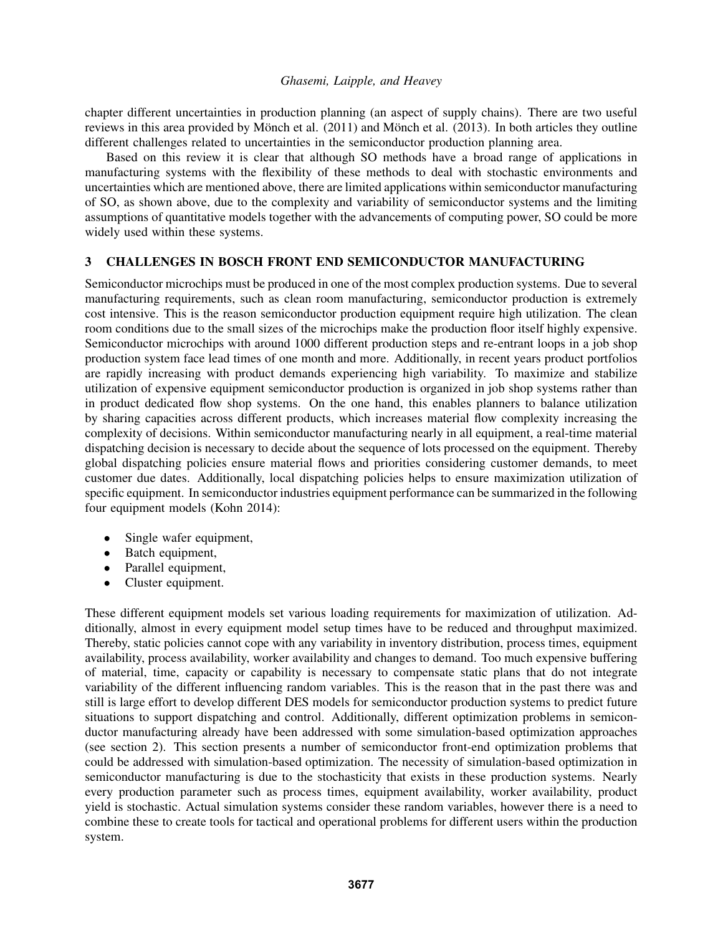chapter different uncertainties in production planning (an aspect of supply chains). There are two useful reviews in this area provided by Mönch et al.  $(2011)$  and Mönch et al.  $(2013)$ . In both articles they outline different challenges related to uncertainties in the semiconductor production planning area.

Based on this review it is clear that although SO methods have a broad range of applications in manufacturing systems with the flexibility of these methods to deal with stochastic environments and uncertainties which are mentioned above, there are limited applications within semiconductor manufacturing of SO, as shown above, due to the complexity and variability of semiconductor systems and the limiting assumptions of quantitative models together with the advancements of computing power, SO could be more widely used within these systems.

### 3 CHALLENGES IN BOSCH FRONT END SEMICONDUCTOR MANUFACTURING

Semiconductor microchips must be produced in one of the most complex production systems. Due to several manufacturing requirements, such as clean room manufacturing, semiconductor production is extremely cost intensive. This is the reason semiconductor production equipment require high utilization. The clean room conditions due to the small sizes of the microchips make the production floor itself highly expensive. Semiconductor microchips with around 1000 different production steps and re-entrant loops in a job shop production system face lead times of one month and more. Additionally, in recent years product portfolios are rapidly increasing with product demands experiencing high variability. To maximize and stabilize utilization of expensive equipment semiconductor production is organized in job shop systems rather than in product dedicated flow shop systems. On the one hand, this enables planners to balance utilization by sharing capacities across different products, which increases material flow complexity increasing the complexity of decisions. Within semiconductor manufacturing nearly in all equipment, a real-time material dispatching decision is necessary to decide about the sequence of lots processed on the equipment. Thereby global dispatching policies ensure material flows and priorities considering customer demands, to meet customer due dates. Additionally, local dispatching policies helps to ensure maximization utilization of specific equipment. In semiconductor industries equipment performance can be summarized in the following four equipment models (Kohn 2014):

- Single wafer equipment,
- Batch equipment,
- Parallel equipment,
- Cluster equipment.

These different equipment models set various loading requirements for maximization of utilization. Additionally, almost in every equipment model setup times have to be reduced and throughput maximized. Thereby, static policies cannot cope with any variability in inventory distribution, process times, equipment availability, process availability, worker availability and changes to demand. Too much expensive buffering of material, time, capacity or capability is necessary to compensate static plans that do not integrate variability of the different influencing random variables. This is the reason that in the past there was and still is large effort to develop different DES models for semiconductor production systems to predict future situations to support dispatching and control. Additionally, different optimization problems in semiconductor manufacturing already have been addressed with some simulation-based optimization approaches (see section 2). This section presents a number of semiconductor front-end optimization problems that could be addressed with simulation-based optimization. The necessity of simulation-based optimization in semiconductor manufacturing is due to the stochasticity that exists in these production systems. Nearly every production parameter such as process times, equipment availability, worker availability, product yield is stochastic. Actual simulation systems consider these random variables, however there is a need to combine these to create tools for tactical and operational problems for different users within the production system.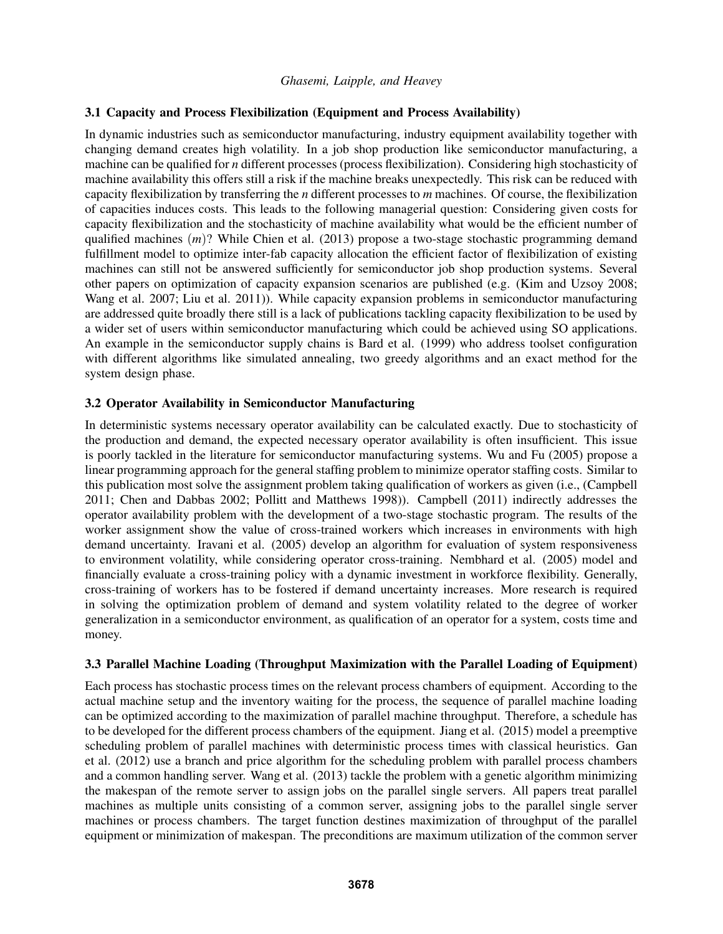## 3.1 Capacity and Process Flexibilization (Equipment and Process Availability)

In dynamic industries such as semiconductor manufacturing, industry equipment availability together with changing demand creates high volatility. In a job shop production like semiconductor manufacturing, a machine can be qualified for *n* different processes (process flexibilization). Considering high stochasticity of machine availability this offers still a risk if the machine breaks unexpectedly. This risk can be reduced with capacity flexibilization by transferring the *n* different processes to *m* machines. Of course, the flexibilization of capacities induces costs. This leads to the following managerial question: Considering given costs for capacity flexibilization and the stochasticity of machine availability what would be the efficient number of qualified machines (*m*)? While Chien et al. (2013) propose a two-stage stochastic programming demand fulfillment model to optimize inter-fab capacity allocation the efficient factor of flexibilization of existing machines can still not be answered sufficiently for semiconductor job shop production systems. Several other papers on optimization of capacity expansion scenarios are published (e.g. (Kim and Uzsoy 2008; Wang et al. 2007; Liu et al. 2011)). While capacity expansion problems in semiconductor manufacturing are addressed quite broadly there still is a lack of publications tackling capacity flexibilization to be used by a wider set of users within semiconductor manufacturing which could be achieved using SO applications. An example in the semiconductor supply chains is Bard et al. (1999) who address toolset configuration with different algorithms like simulated annealing, two greedy algorithms and an exact method for the system design phase.

# 3.2 Operator Availability in Semiconductor Manufacturing

In deterministic systems necessary operator availability can be calculated exactly. Due to stochasticity of the production and demand, the expected necessary operator availability is often insufficient. This issue is poorly tackled in the literature for semiconductor manufacturing systems. Wu and Fu (2005) propose a linear programming approach for the general staffing problem to minimize operator staffing costs. Similar to this publication most solve the assignment problem taking qualification of workers as given (i.e., (Campbell 2011; Chen and Dabbas 2002; Pollitt and Matthews 1998)). Campbell (2011) indirectly addresses the operator availability problem with the development of a two-stage stochastic program. The results of the worker assignment show the value of cross-trained workers which increases in environments with high demand uncertainty. Iravani et al. (2005) develop an algorithm for evaluation of system responsiveness to environment volatility, while considering operator cross-training. Nembhard et al. (2005) model and financially evaluate a cross-training policy with a dynamic investment in workforce flexibility. Generally, cross-training of workers has to be fostered if demand uncertainty increases. More research is required in solving the optimization problem of demand and system volatility related to the degree of worker generalization in a semiconductor environment, as qualification of an operator for a system, costs time and money.

### 3.3 Parallel Machine Loading (Throughput Maximization with the Parallel Loading of Equipment)

Each process has stochastic process times on the relevant process chambers of equipment. According to the actual machine setup and the inventory waiting for the process, the sequence of parallel machine loading can be optimized according to the maximization of parallel machine throughput. Therefore, a schedule has to be developed for the different process chambers of the equipment. Jiang et al. (2015) model a preemptive scheduling problem of parallel machines with deterministic process times with classical heuristics. Gan et al. (2012) use a branch and price algorithm for the scheduling problem with parallel process chambers and a common handling server. Wang et al. (2013) tackle the problem with a genetic algorithm minimizing the makespan of the remote server to assign jobs on the parallel single servers. All papers treat parallel machines as multiple units consisting of a common server, assigning jobs to the parallel single server machines or process chambers. The target function destines maximization of throughput of the parallel equipment or minimization of makespan. The preconditions are maximum utilization of the common server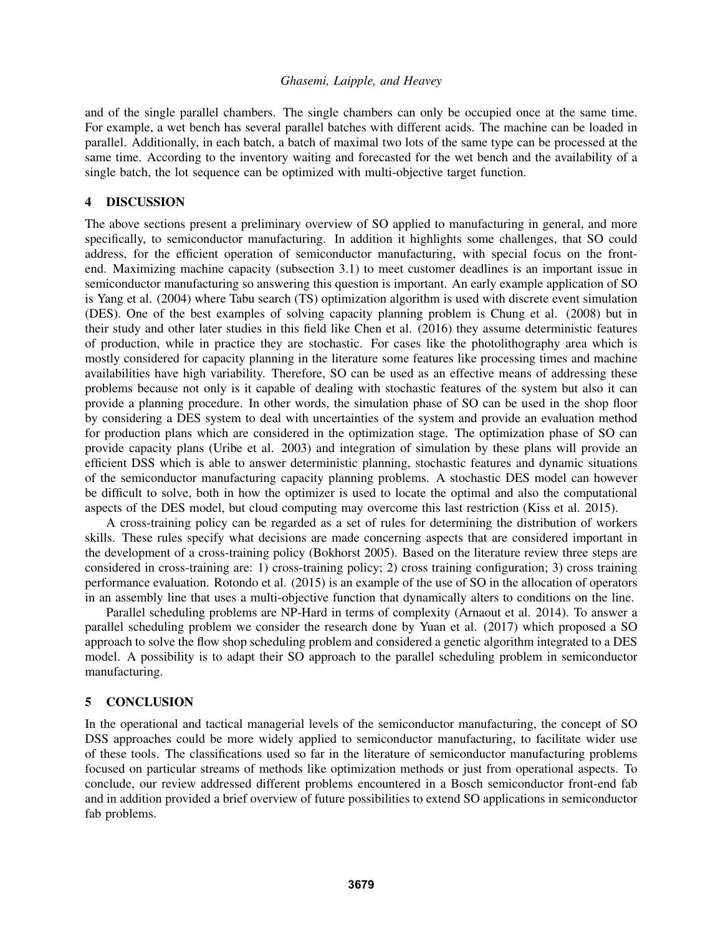and of the single parallel chambers. The single chambers can only be occupied once at the same time. For example, a wet bench has several parallel batches with different acids. The machine can be loaded in parallel. Additionally, in each batch, a batch of maximal two lots of the same type can be processed at the same time. According to the inventory waiting and forecasted for the wet bench and the availability of a single batch, the lot sequence can be optimized with multi-objective target function.

### 4 DISCUSSION

The above sections present a preliminary overview of SO applied to manufacturing in general, and more specifically, to semiconductor manufacturing. In addition it highlights some challenges, that SO could address, for the efficient operation of semiconductor manufacturing, with special focus on the frontend. Maximizing machine capacity (subsection 3.1) to meet customer deadlines is an important issue in semiconductor manufacturing so answering this question is important. An early example application of SO is Yang et al. (2004) where Tabu search (TS) optimization algorithm is used with discrete event simulation (DES). One of the best examples of solving capacity planning problem is Chung et al. (2008) but in their study and other later studies in this field like Chen et al. (2016) they assume deterministic features of production, while in practice they are stochastic. For cases like the photolithography area which is mostly considered for capacity planning in the literature some features like processing times and machine availabilities have high variability. Therefore, SO can be used as an effective means of addressing these problems because not only is it capable of dealing with stochastic features of the system but also it can provide a planning procedure. In other words, the simulation phase of SO can be used in the shop floor by considering a DES system to deal with uncertainties of the system and provide an evaluation method for production plans which are considered in the optimization stage. The optimization phase of SO can provide capacity plans (Uribe et al. 2003) and integration of simulation by these plans will provide an efficient DSS which is able to answer deterministic planning, stochastic features and dynamic situations of the semiconductor manufacturing capacity planning problems. A stochastic DES model can however be difficult to solve, both in how the optimizer is used to locate the optimal and also the computational aspects of the DES model, but cloud computing may overcome this last restriction (Kiss et al. 2015).

A cross-training policy can be regarded as a set of rules for determining the distribution of workers skills. These rules specify what decisions are made concerning aspects that are considered important in the development of a cross-training policy (Bokhorst 2005). Based on the literature review three steps are considered in cross-training are: 1) cross-training policy; 2) cross training configuration; 3) cross training performance evaluation. Rotondo et al. (2015) is an example of the use of SO in the allocation of operators in an assembly line that uses a multi-objective function that dynamically alters to conditions on the line.

Parallel scheduling problems are NP-Hard in terms of complexity (Arnaout et al. 2014). To answer a parallel scheduling problem we consider the research done by Yuan et al. (2017) which proposed a SO approach to solve the flow shop scheduling problem and considered a genetic algorithm integrated to a DES model. A possibility is to adapt their SO approach to the parallel scheduling problem in semiconductor manufacturing.

#### 5 CONCLUSION

In the operational and tactical managerial levels of the semiconductor manufacturing, the concept of SO DSS approaches could be more widely applied to semiconductor manufacturing, to facilitate wider use of these tools. The classifications used so far in the literature of semiconductor manufacturing problems focused on particular streams of methods like optimization methods or just from operational aspects. To conclude, our review addressed different problems encountered in a Bosch semiconductor front-end fab and in addition provided a brief overview of future possibilities to extend SO applications in semiconductor fab problems.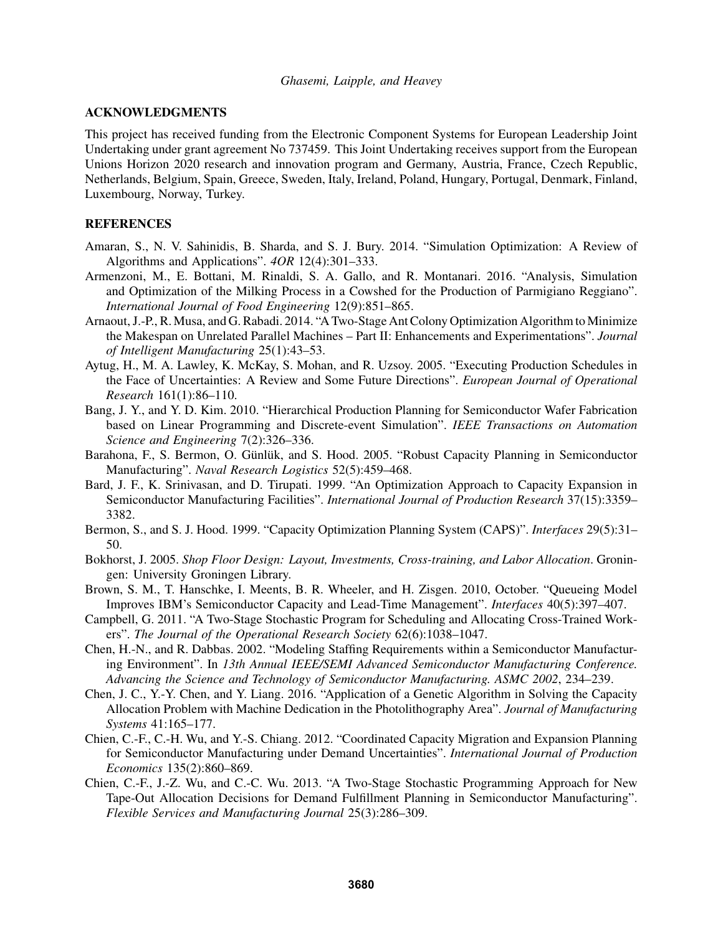### ACKNOWLEDGMENTS

This project has received funding from the Electronic Component Systems for European Leadership Joint Undertaking under grant agreement No 737459. This Joint Undertaking receives support from the European Unions Horizon 2020 research and innovation program and Germany, Austria, France, Czech Republic, Netherlands, Belgium, Spain, Greece, Sweden, Italy, Ireland, Poland, Hungary, Portugal, Denmark, Finland, Luxembourg, Norway, Turkey.

## **REFERENCES**

- Amaran, S., N. V. Sahinidis, B. Sharda, and S. J. Bury. 2014. "Simulation Optimization: A Review of Algorithms and Applications". *4OR* 12(4):301–333.
- Armenzoni, M., E. Bottani, M. Rinaldi, S. A. Gallo, and R. Montanari. 2016. "Analysis, Simulation and Optimization of the Milking Process in a Cowshed for the Production of Parmigiano Reggiano". *International Journal of Food Engineering* 12(9):851–865.
- Arnaout, J.-P., R. Musa, and G. Rabadi. 2014. "A Two-Stage Ant Colony Optimization Algorithm to Minimize the Makespan on Unrelated Parallel Machines – Part II: Enhancements and Experimentations". *Journal of Intelligent Manufacturing* 25(1):43–53.
- Aytug, H., M. A. Lawley, K. McKay, S. Mohan, and R. Uzsoy. 2005. "Executing Production Schedules in the Face of Uncertainties: A Review and Some Future Directions". *European Journal of Operational Research* 161(1):86–110.
- Bang, J. Y., and Y. D. Kim. 2010. "Hierarchical Production Planning for Semiconductor Wafer Fabrication based on Linear Programming and Discrete-event Simulation". *IEEE Transactions on Automation Science and Engineering* 7(2):326–336.
- Barahona, F., S. Bermon, O. Günlük, and S. Hood. 2005. "Robust Capacity Planning in Semiconductor Manufacturing". *Naval Research Logistics* 52(5):459–468.
- Bard, J. F., K. Srinivasan, and D. Tirupati. 1999. "An Optimization Approach to Capacity Expansion in Semiconductor Manufacturing Facilities". *International Journal of Production Research* 37(15):3359– 3382.
- Bermon, S., and S. J. Hood. 1999. "Capacity Optimization Planning System (CAPS)". *Interfaces* 29(5):31– 50.
- Bokhorst, J. 2005. *Shop Floor Design: Layout, Investments, Cross-training, and Labor Allocation*. Groningen: University Groningen Library.
- Brown, S. M., T. Hanschke, I. Meents, B. R. Wheeler, and H. Zisgen. 2010, October. "Queueing Model Improves IBM's Semiconductor Capacity and Lead-Time Management". *Interfaces* 40(5):397–407.
- Campbell, G. 2011. "A Two-Stage Stochastic Program for Scheduling and Allocating Cross-Trained Workers". *The Journal of the Operational Research Society* 62(6):1038–1047.
- Chen, H.-N., and R. Dabbas. 2002. "Modeling Staffing Requirements within a Semiconductor Manufacturing Environment". In *13th Annual IEEE/SEMI Advanced Semiconductor Manufacturing Conference. Advancing the Science and Technology of Semiconductor Manufacturing. ASMC 2002*, 234–239.
- Chen, J. C., Y.-Y. Chen, and Y. Liang. 2016. "Application of a Genetic Algorithm in Solving the Capacity Allocation Problem with Machine Dedication in the Photolithography Area". *Journal of Manufacturing Systems* 41:165–177.
- Chien, C.-F., C.-H. Wu, and Y.-S. Chiang. 2012. "Coordinated Capacity Migration and Expansion Planning for Semiconductor Manufacturing under Demand Uncertainties". *International Journal of Production Economics* 135(2):860–869.
- Chien, C.-F., J.-Z. Wu, and C.-C. Wu. 2013. "A Two-Stage Stochastic Programming Approach for New Tape-Out Allocation Decisions for Demand Fulfillment Planning in Semiconductor Manufacturing". *Flexible Services and Manufacturing Journal* 25(3):286–309.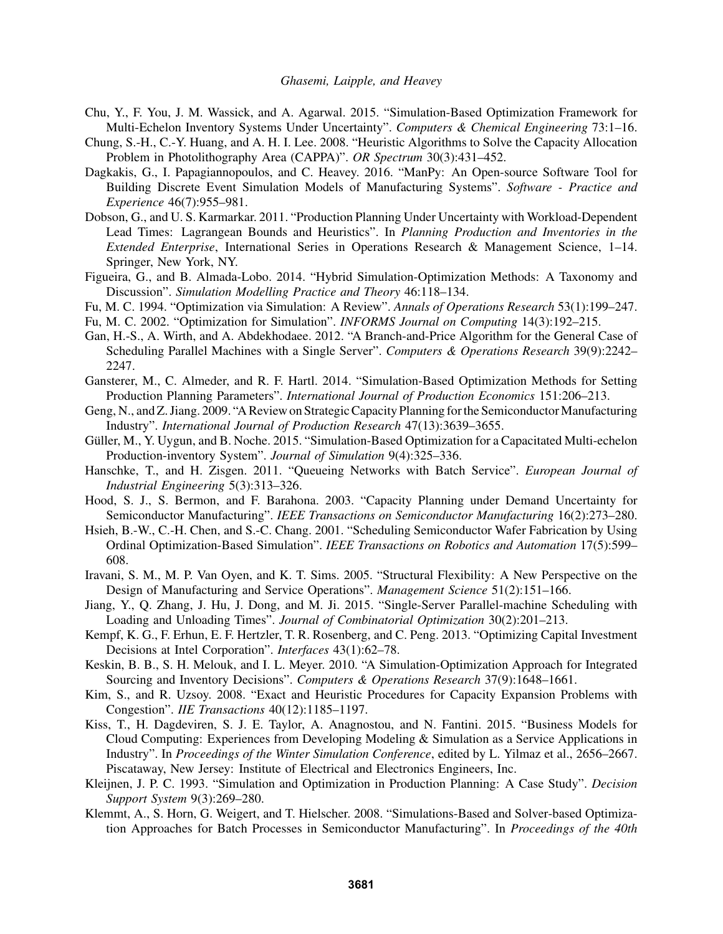- Chu, Y., F. You, J. M. Wassick, and A. Agarwal. 2015. "Simulation-Based Optimization Framework for Multi-Echelon Inventory Systems Under Uncertainty". *Computers & Chemical Engineering* 73:1–16.
- Chung, S.-H., C.-Y. Huang, and A. H. I. Lee. 2008. "Heuristic Algorithms to Solve the Capacity Allocation Problem in Photolithography Area (CAPPA)". *OR Spectrum* 30(3):431–452.
- Dagkakis, G., I. Papagiannopoulos, and C. Heavey. 2016. "ManPy: An Open-source Software Tool for Building Discrete Event Simulation Models of Manufacturing Systems". *Software - Practice and Experience* 46(7):955–981.
- Dobson, G., and U. S. Karmarkar. 2011. "Production Planning Under Uncertainty with Workload-Dependent Lead Times: Lagrangean Bounds and Heuristics". In *Planning Production and Inventories in the Extended Enterprise*, International Series in Operations Research & Management Science, 1–14. Springer, New York, NY.
- Figueira, G., and B. Almada-Lobo. 2014. "Hybrid Simulation-Optimization Methods: A Taxonomy and Discussion". *Simulation Modelling Practice and Theory* 46:118–134.
- Fu, M. C. 1994. "Optimization via Simulation: A Review". *Annals of Operations Research* 53(1):199–247.
- Fu, M. C. 2002. "Optimization for Simulation". *INFORMS Journal on Computing* 14(3):192–215.
- Gan, H.-S., A. Wirth, and A. Abdekhodaee. 2012. "A Branch-and-Price Algorithm for the General Case of Scheduling Parallel Machines with a Single Server". *Computers & Operations Research* 39(9):2242– 2247.
- Gansterer, M., C. Almeder, and R. F. Hartl. 2014. "Simulation-Based Optimization Methods for Setting Production Planning Parameters". *International Journal of Production Economics* 151:206–213.
- Geng, N., and Z. Jiang. 2009. "A Review on Strategic Capacity Planning for the Semiconductor Manufacturing Industry". *International Journal of Production Research* 47(13):3639–3655.
- Güller, M., Y. Uygun, and B. Noche. 2015. "Simulation-Based Optimization for a Capacitated Multi-echelon Production-inventory System". *Journal of Simulation* 9(4):325–336.
- Hanschke, T., and H. Zisgen. 2011. "Queueing Networks with Batch Service". *European Journal of Industrial Engineering* 5(3):313–326.
- Hood, S. J., S. Bermon, and F. Barahona. 2003. "Capacity Planning under Demand Uncertainty for Semiconductor Manufacturing". *IEEE Transactions on Semiconductor Manufacturing* 16(2):273–280.
- Hsieh, B.-W., C.-H. Chen, and S.-C. Chang. 2001. "Scheduling Semiconductor Wafer Fabrication by Using Ordinal Optimization-Based Simulation". *IEEE Transactions on Robotics and Automation* 17(5):599– 608.
- Iravani, S. M., M. P. Van Oyen, and K. T. Sims. 2005. "Structural Flexibility: A New Perspective on the Design of Manufacturing and Service Operations". *Management Science* 51(2):151–166.
- Jiang, Y., Q. Zhang, J. Hu, J. Dong, and M. Ji. 2015. "Single-Server Parallel-machine Scheduling with Loading and Unloading Times". *Journal of Combinatorial Optimization* 30(2):201–213.
- Kempf, K. G., F. Erhun, E. F. Hertzler, T. R. Rosenberg, and C. Peng. 2013. "Optimizing Capital Investment Decisions at Intel Corporation". *Interfaces* 43(1):62–78.
- Keskin, B. B., S. H. Melouk, and I. L. Meyer. 2010. "A Simulation-Optimization Approach for Integrated Sourcing and Inventory Decisions". *Computers & Operations Research* 37(9):1648–1661.
- Kim, S., and R. Uzsoy. 2008. "Exact and Heuristic Procedures for Capacity Expansion Problems with Congestion". *IIE Transactions* 40(12):1185–1197.
- Kiss, T., H. Dagdeviren, S. J. E. Taylor, A. Anagnostou, and N. Fantini. 2015. "Business Models for Cloud Computing: Experiences from Developing Modeling & Simulation as a Service Applications in Industry". In *Proceedings of the Winter Simulation Conference*, edited by L. Yilmaz et al., 2656–2667. Piscataway, New Jersey: Institute of Electrical and Electronics Engineers, Inc.
- Kleijnen, J. P. C. 1993. "Simulation and Optimization in Production Planning: A Case Study". *Decision Support System* 9(3):269–280.
- Klemmt, A., S. Horn, G. Weigert, and T. Hielscher. 2008. "Simulations-Based and Solver-based Optimization Approaches for Batch Processes in Semiconductor Manufacturing". In *Proceedings of the 40th*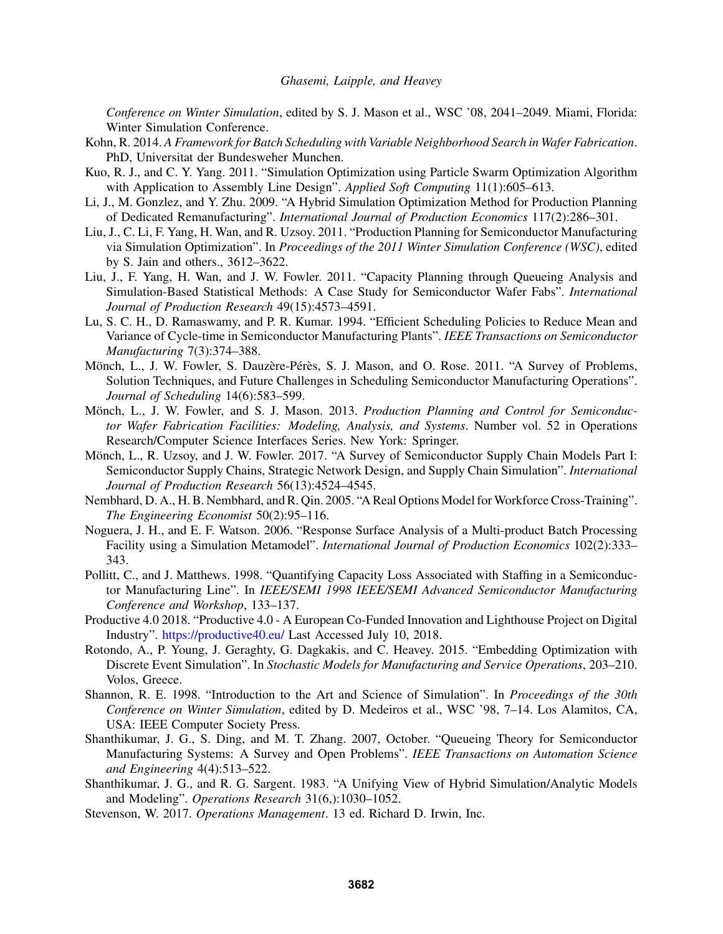*Conference on Winter Simulation*, edited by S. J. Mason et al., WSC '08, 2041–2049. Miami, Florida: Winter Simulation Conference.

- Kohn, R. 2014. *A Framework for Batch Scheduling with Variable Neighborhood Search in Wafer Fabrication*. PhD, Universitat der Bundesweher Munchen.
- Kuo, R. J., and C. Y. Yang. 2011. "Simulation Optimization using Particle Swarm Optimization Algorithm with Application to Assembly Line Design". *Applied Soft Computing* 11(1):605–613.
- Li, J., M. Gonzlez, and Y. Zhu. 2009. "A Hybrid Simulation Optimization Method for Production Planning of Dedicated Remanufacturing". *International Journal of Production Economics* 117(2):286–301.
- Liu, J., C. Li, F. Yang, H. Wan, and R. Uzsoy. 2011. "Production Planning for Semiconductor Manufacturing via Simulation Optimization". In *Proceedings of the 2011 Winter Simulation Conference (WSC)*, edited by S. Jain and others., 3612–3622.
- Liu, J., F. Yang, H. Wan, and J. W. Fowler. 2011. "Capacity Planning through Queueing Analysis and Simulation-Based Statistical Methods: A Case Study for Semiconductor Wafer Fabs". *International Journal of Production Research* 49(15):4573–4591.
- Lu, S. C. H., D. Ramaswamy, and P. R. Kumar. 1994. "Efficient Scheduling Policies to Reduce Mean and Variance of Cycle-time in Semiconductor Manufacturing Plants". *IEEE Transactions on Semiconductor Manufacturing* 7(3):374–388.
- Mönch, L., J. W. Fowler, S. Dauzère-Pérès, S. J. Mason, and O. Rose. 2011. "A Survey of Problems, Solution Techniques, and Future Challenges in Scheduling Semiconductor Manufacturing Operations". *Journal of Scheduling* 14(6):583–599.
- Mönch, L., J. W. Fowler, and S. J. Mason. 2013. *Production Planning and Control for Semiconductor Wafer Fabrication Facilities: Modeling, Analysis, and Systems*. Number vol. 52 in Operations Research/Computer Science Interfaces Series. New York: Springer.
- Mönch, L., R. Uzsoy, and J. W. Fowler. 2017. "A Survey of Semiconductor Supply Chain Models Part I: Semiconductor Supply Chains, Strategic Network Design, and Supply Chain Simulation". *International Journal of Production Research* 56(13):4524–4545.
- Nembhard, D. A., H. B. Nembhard, and R. Qin. 2005. "A Real Options Model for Workforce Cross-Training". *The Engineering Economist* 50(2):95–116.
- Noguera, J. H., and E. F. Watson. 2006. "Response Surface Analysis of a Multi-product Batch Processing Facility using a Simulation Metamodel". *International Journal of Production Economics* 102(2):333– 343.
- Pollitt, C., and J. Matthews. 1998. "Quantifying Capacity Loss Associated with Staffing in a Semiconductor Manufacturing Line". In *IEEE/SEMI 1998 IEEE/SEMI Advanced Semiconductor Manufacturing Conference and Workshop*, 133–137.
- Productive 4.0 2018. "Productive 4.0 A European Co-Funded Innovation and Lighthouse Project on Digital Industry". https://productive40.eu/ Last Accessed July 10, 2018.
- Rotondo, A., P. Young, J. Geraghty, G. Dagkakis, and C. Heavey. 2015. "Embedding Optimization with Discrete Event Simulation". In *Stochastic Models for Manufacturing and Service Operations*, 203–210. Volos, Greece.
- Shannon, R. E. 1998. "Introduction to the Art and Science of Simulation". In *Proceedings of the 30th Conference on Winter Simulation*, edited by D. Medeiros et al., WSC '98, 7–14. Los Alamitos, CA, USA: IEEE Computer Society Press.
- Shanthikumar, J. G., S. Ding, and M. T. Zhang. 2007, October. "Queueing Theory for Semiconductor Manufacturing Systems: A Survey and Open Problems". *IEEE Transactions on Automation Science and Engineering* 4(4):513–522.
- Shanthikumar, J. G., and R. G. Sargent. 1983. "A Unifying View of Hybrid Simulation/Analytic Models and Modeling". *Operations Research* 31(6,):1030–1052.
- Stevenson, W. 2017. *Operations Management*. 13 ed. Richard D. Irwin, Inc.